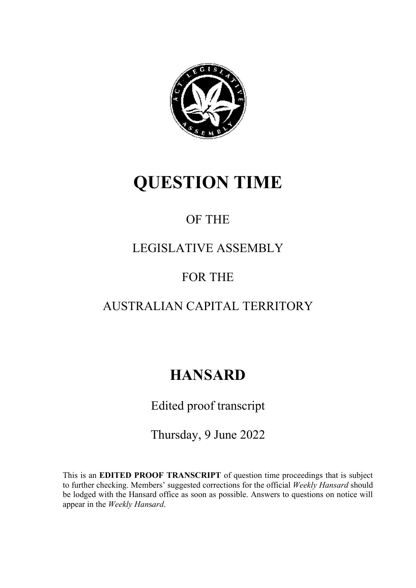

# **QUESTION TIME**

### OF THE

### LEGISLATIVE ASSEMBLY

### FOR THE

### AUSTRALIAN CAPITAL TERRITORY

## **HANSARD**

Edited proof transcript

Thursday, 9 June 2022

This is an **EDITED PROOF TRANSCRIPT** of question time proceedings that is subject to further checking. Members' suggested corrections for the official *Weekly Hansard* should be lodged with the Hansard office as soon as possible. Answers to questions on notice will appear in the *Weekly Han*s*ard*.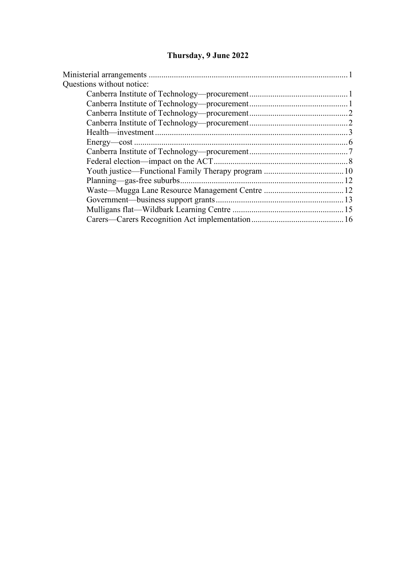### **Thursday, 9 June 2022**

| Questions without notice: |  |
|---------------------------|--|
|                           |  |
|                           |  |
|                           |  |
|                           |  |
|                           |  |
|                           |  |
|                           |  |
|                           |  |
|                           |  |
|                           |  |
|                           |  |
|                           |  |
|                           |  |
|                           |  |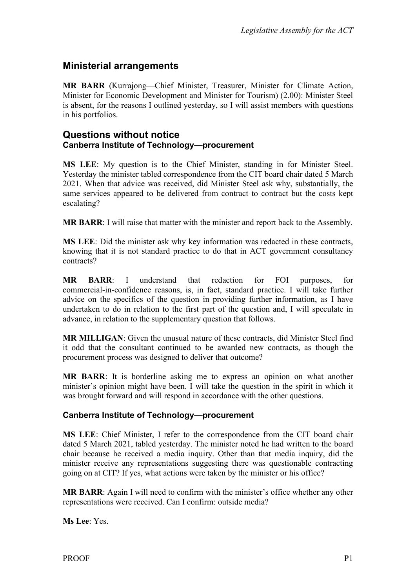#### <span id="page-2-0"></span>**Ministerial arrangements**

**MR BARR** (Kurrajong—Chief Minister, Treasurer, Minister for Climate Action, Minister for Economic Development and Minister for Tourism) (2.00): Minister Steel is absent, for the reasons I outlined yesterday, so I will assist members with questions in his portfolios.

#### <span id="page-2-2"></span><span id="page-2-1"></span>**Questions without notice Canberra Institute of Technology—procurement**

**MS LEE**: My question is to the Chief Minister, standing in for Minister Steel. Yesterday the minister tabled correspondence from the CIT board chair dated 5 March 2021. When that advice was received, did Minister Steel ask why, substantially, the same services appeared to be delivered from contract to contract but the costs kept escalating?

**MR BARR**: I will raise that matter with the minister and report back to the Assembly.

**MS LEE**: Did the minister ask why key information was redacted in these contracts, knowing that it is not standard practice to do that in ACT government consultancy contracts?

**MR BARR**: I understand that redaction for FOI purposes, for commercial-in-confidence reasons, is, in fact, standard practice. I will take further advice on the specifics of the question in providing further information, as I have undertaken to do in relation to the first part of the question and, I will speculate in advance, in relation to the supplementary question that follows.

**MR MILLIGAN**: Given the unusual nature of these contracts, did Minister Steel find it odd that the consultant continued to be awarded new contracts, as though the procurement process was designed to deliver that outcome?

**MR BARR**: It is borderline asking me to express an opinion on what another minister's opinion might have been. I will take the question in the spirit in which it was brought forward and will respond in accordance with the other questions.

#### <span id="page-2-3"></span>**Canberra Institute of Technology—procurement**

**MS LEE**: Chief Minister, I refer to the correspondence from the CIT board chair dated 5 March 2021, tabled yesterday. The minister noted he had written to the board chair because he received a media inquiry. Other than that media inquiry, did the minister receive any representations suggesting there was questionable contracting going on at CIT? If yes, what actions were taken by the minister or his office?

**MR BARR**: Again I will need to confirm with the minister's office whether any other representations were received. Can I confirm: outside media?

**Ms Lee**: Yes.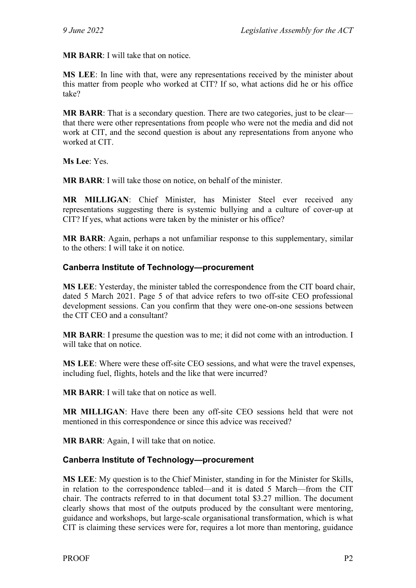**MR BARR**: I will take that on notice.

**MS LEE**: In line with that, were any representations received by the minister about this matter from people who worked at CIT? If so, what actions did he or his office take?

**MR BARR:** That is a secondary question. There are two categories, just to be clear that there were other representations from people who were not the media and did not work at CIT, and the second question is about any representations from anyone who worked at CIT.

**Ms Lee**: Yes.

**MR BARR**: I will take those on notice, on behalf of the minister.

**MR MILLIGAN**: Chief Minister, has Minister Steel ever received any representations suggesting there is systemic bullying and a culture of cover-up at CIT? If yes, what actions were taken by the minister or his office?

**MR BARR**: Again, perhaps a not unfamiliar response to this supplementary, similar to the others: I will take it on notice.

#### <span id="page-3-0"></span>**Canberra Institute of Technology—procurement**

**MS LEE**: Yesterday, the minister tabled the correspondence from the CIT board chair, dated 5 March 2021. Page 5 of that advice refers to two off-site CEO professional development sessions. Can you confirm that they were one-on-one sessions between the CIT CEO and a consultant?

**MR BARR**: I presume the question was to me; it did not come with an introduction. I will take that on notice.

**MS LEE**: Where were these off-site CEO sessions, and what were the travel expenses, including fuel, flights, hotels and the like that were incurred?

**MR BARR**: I will take that on notice as well.

**MR MILLIGAN**: Have there been any off-site CEO sessions held that were not mentioned in this correspondence or since this advice was received?

**MR BARR**: Again, I will take that on notice.

#### <span id="page-3-1"></span>**Canberra Institute of Technology—procurement**

**MS LEE**: My question is to the Chief Minister, standing in for the Minister for Skills, in relation to the correspondence tabled—and it is dated 5 March—from the CIT chair. The contracts referred to in that document total \$3.27 million. The document clearly shows that most of the outputs produced by the consultant were mentoring, guidance and workshops, but large-scale organisational transformation, which is what CIT is claiming these services were for, requires a lot more than mentoring, guidance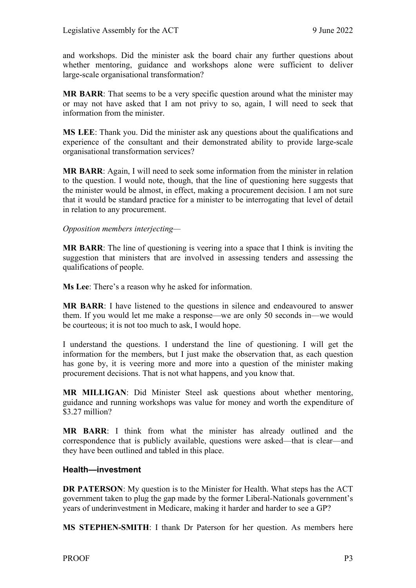and workshops. Did the minister ask the board chair any further questions about whether mentoring, guidance and workshops alone were sufficient to deliver large-scale organisational transformation?

**MR BARR**: That seems to be a very specific question around what the minister may or may not have asked that I am not privy to so, again, I will need to seek that information from the minister.

**MS LEE**: Thank you. Did the minister ask any questions about the qualifications and experience of the consultant and their demonstrated ability to provide large-scale organisational transformation services?

**MR BARR**: Again, I will need to seek some information from the minister in relation to the question. I would note, though, that the line of questioning here suggests that the minister would be almost, in effect, making a procurement decision. I am not sure that it would be standard practice for a minister to be interrogating that level of detail in relation to any procurement.

#### *Opposition members interjecting—*

**MR BARR**: The line of questioning is veering into a space that I think is inviting the suggestion that ministers that are involved in assessing tenders and assessing the qualifications of people.

**Ms Lee**: There's a reason why he asked for information.

**MR BARR**: I have listened to the questions in silence and endeavoured to answer them. If you would let me make a response—we are only 50 seconds in—we would be courteous; it is not too much to ask, I would hope.

I understand the questions. I understand the line of questioning. I will get the information for the members, but I just make the observation that, as each question has gone by, it is veering more and more into a question of the minister making procurement decisions. That is not what happens, and you know that.

**MR MILLIGAN**: Did Minister Steel ask questions about whether mentoring, guidance and running workshops was value for money and worth the expenditure of \$3.27 million?

**MR BARR**: I think from what the minister has already outlined and the correspondence that is publicly available, questions were asked—that is clear—and they have been outlined and tabled in this place.

#### <span id="page-4-0"></span>**Health—investment**

**DR PATERSON**: My question is to the Minister for Health. What steps has the ACT government taken to plug the gap made by the former Liberal-Nationals government's years of underinvestment in Medicare, making it harder and harder to see a GP?

**MS STEPHEN-SMITH**: I thank Dr Paterson for her question. As members here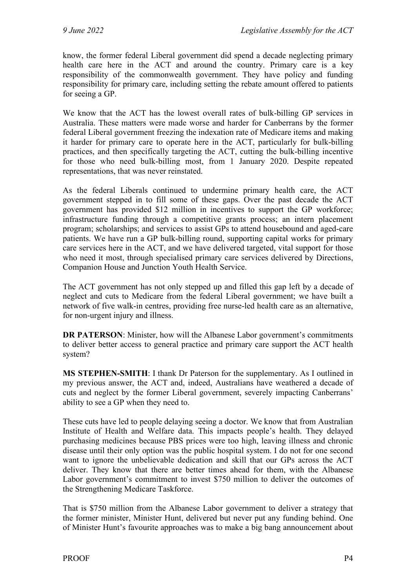know, the former federal Liberal government did spend a decade neglecting primary health care here in the ACT and around the country. Primary care is a key responsibility of the commonwealth government. They have policy and funding responsibility for primary care, including setting the rebate amount offered to patients for seeing a GP.

We know that the ACT has the lowest overall rates of bulk-billing GP services in Australia. These matters were made worse and harder for Canberrans by the former federal Liberal government freezing the indexation rate of Medicare items and making it harder for primary care to operate here in the ACT, particularly for bulk-billing practices, and then specifically targeting the ACT, cutting the bulk-billing incentive for those who need bulk-billing most, from 1 January 2020. Despite repeated representations, that was never reinstated.

As the federal Liberals continued to undermine primary health care, the ACT government stepped in to fill some of these gaps. Over the past decade the ACT government has provided \$12 million in incentives to support the GP workforce; infrastructure funding through a competitive grants process; an intern placement program; scholarships; and services to assist GPs to attend housebound and aged-care patients. We have run a GP bulk-billing round, supporting capital works for primary care services here in the ACT, and we have delivered targeted, vital support for those who need it most, through specialised primary care services delivered by Directions, Companion House and Junction Youth Health Service.

The ACT government has not only stepped up and filled this gap left by a decade of neglect and cuts to Medicare from the federal Liberal government; we have built a network of five walk-in centres, providing free nurse-led health care as an alternative, for non-urgent injury and illness.

**DR PATERSON**: Minister, how will the Albanese Labor government's commitments to deliver better access to general practice and primary care support the ACT health system?

**MS STEPHEN-SMITH**: I thank Dr Paterson for the supplementary. As I outlined in my previous answer, the ACT and, indeed, Australians have weathered a decade of cuts and neglect by the former Liberal government, severely impacting Canberrans' ability to see a GP when they need to.

These cuts have led to people delaying seeing a doctor. We know that from Australian Institute of Health and Welfare data. This impacts people's health. They delayed purchasing medicines because PBS prices were too high, leaving illness and chronic disease until their only option was the public hospital system. I do not for one second want to ignore the unbelievable dedication and skill that our GPs across the ACT deliver. They know that there are better times ahead for them, with the Albanese Labor government's commitment to invest \$750 million to deliver the outcomes of the Strengthening Medicare Taskforce.

That is \$750 million from the Albanese Labor government to deliver a strategy that the former minister, Minister Hunt, delivered but never put any funding behind. One of Minister Hunt's favourite approaches was to make a big bang announcement about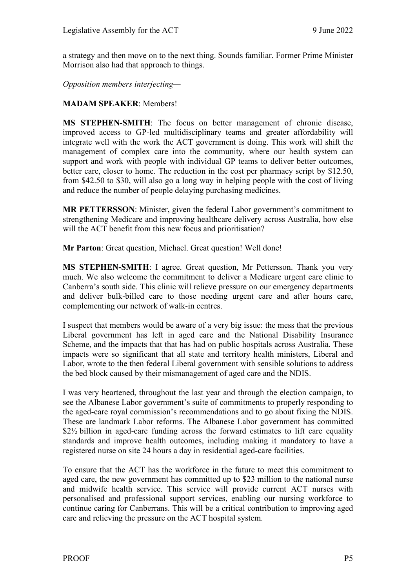a strategy and then move on to the next thing. Sounds familiar. Former Prime Minister Morrison also had that approach to things.

*Opposition members interjecting—*

#### **MADAM SPEAKER**: Members!

**MS STEPHEN-SMITH**: The focus on better management of chronic disease, improved access to GP-led multidisciplinary teams and greater affordability will integrate well with the work the ACT government is doing. This work will shift the management of complex care into the community, where our health system can support and work with people with individual GP teams to deliver better outcomes, better care, closer to home. The reduction in the cost per pharmacy script by \$12.50, from \$42.50 to \$30, will also go a long way in helping people with the cost of living and reduce the number of people delaying purchasing medicines.

**MR PETTERSSON**: Minister, given the federal Labor government's commitment to strengthening Medicare and improving healthcare delivery across Australia, how else will the ACT benefit from this new focus and prioritisation?

**Mr Parton**: Great question, Michael. Great question! Well done!

**MS STEPHEN-SMITH**: I agree. Great question, Mr Pettersson. Thank you very much. We also welcome the commitment to deliver a Medicare urgent care clinic to Canberra's south side. This clinic will relieve pressure on our emergency departments and deliver bulk-billed care to those needing urgent care and after hours care, complementing our network of walk-in centres.

I suspect that members would be aware of a very big issue: the mess that the previous Liberal government has left in aged care and the National Disability Insurance Scheme, and the impacts that that has had on public hospitals across Australia. These impacts were so significant that all state and territory health ministers, Liberal and Labor, wrote to the then federal Liberal government with sensible solutions to address the bed block caused by their mismanagement of aged care and the NDIS.

I was very heartened, throughout the last year and through the election campaign, to see the Albanese Labor government's suite of commitments to properly responding to the aged-care royal commission's recommendations and to go about fixing the NDIS. These are landmark Labor reforms. The Albanese Labor government has committed \$2½ billion in aged-care funding across the forward estimates to lift care equality standards and improve health outcomes, including making it mandatory to have a registered nurse on site 24 hours a day in residential aged-care facilities.

To ensure that the ACT has the workforce in the future to meet this commitment to aged care, the new government has committed up to \$23 million to the national nurse and midwife health service. This service will provide current ACT nurses with personalised and professional support services, enabling our nursing workforce to continue caring for Canberrans. This will be a critical contribution to improving aged care and relieving the pressure on the ACT hospital system.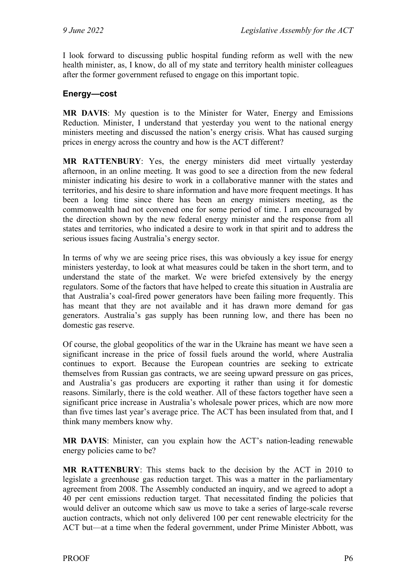I look forward to discussing public hospital funding reform as well with the new health minister, as, I know, do all of my state and territory health minister colleagues after the former government refused to engage on this important topic.

#### <span id="page-7-0"></span>**Energy—cost**

**MR DAVIS**: My question is to the Minister for Water, Energy and Emissions Reduction. Minister, I understand that yesterday you went to the national energy ministers meeting and discussed the nation's energy crisis. What has caused surging prices in energy across the country and how is the ACT different?

**MR RATTENBURY**: Yes, the energy ministers did meet virtually yesterday afternoon, in an online meeting. It was good to see a direction from the new federal minister indicating his desire to work in a collaborative manner with the states and territories, and his desire to share information and have more frequent meetings. It has been a long time since there has been an energy ministers meeting, as the commonwealth had not convened one for some period of time. I am encouraged by the direction shown by the new federal energy minister and the response from all states and territories, who indicated a desire to work in that spirit and to address the serious issues facing Australia's energy sector.

In terms of why we are seeing price rises, this was obviously a key issue for energy ministers yesterday, to look at what measures could be taken in the short term, and to understand the state of the market. We were briefed extensively by the energy regulators. Some of the factors that have helped to create this situation in Australia are that Australia's coal-fired power generators have been failing more frequently. This has meant that they are not available and it has drawn more demand for gas generators. Australia's gas supply has been running low, and there has been no domestic gas reserve.

Of course, the global geopolitics of the war in the Ukraine has meant we have seen a significant increase in the price of fossil fuels around the world, where Australia continues to export. Because the European countries are seeking to extricate themselves from Russian gas contracts, we are seeing upward pressure on gas prices, and Australia's gas producers are exporting it rather than using it for domestic reasons. Similarly, there is the cold weather. All of these factors together have seen a significant price increase in Australia's wholesale power prices, which are now more than five times last year's average price. The ACT has been insulated from that, and I think many members know why.

**MR DAVIS**: Minister, can you explain how the ACT's nation-leading renewable energy policies came to be?

**MR RATTENBURY**: This stems back to the decision by the ACT in 2010 to legislate a greenhouse gas reduction target. This was a matter in the parliamentary agreement from 2008. The Assembly conducted an inquiry, and we agreed to adopt a 40 per cent emissions reduction target. That necessitated finding the policies that would deliver an outcome which saw us move to take a series of large-scale reverse auction contracts, which not only delivered 100 per cent renewable electricity for the ACT but—at a time when the federal government, under Prime Minister Abbott, was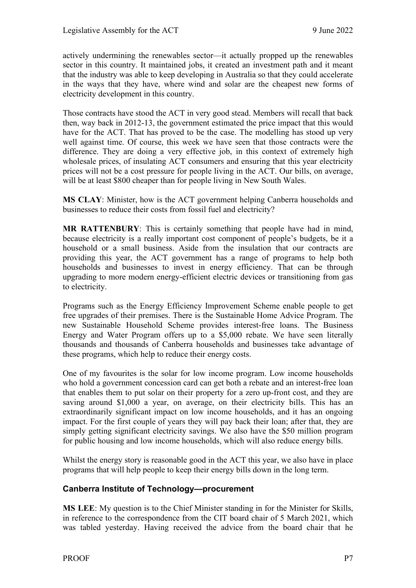actively undermining the renewables sector—it actually propped up the renewables sector in this country. It maintained jobs, it created an investment path and it meant that the industry was able to keep developing in Australia so that they could accelerate in the ways that they have, where wind and solar are the cheapest new forms of electricity development in this country.

Those contracts have stood the ACT in very good stead. Members will recall that back then, way back in 2012-13, the government estimated the price impact that this would have for the ACT. That has proved to be the case. The modelling has stood up very well against time. Of course, this week we have seen that those contracts were the difference. They are doing a very effective job, in this context of extremely high wholesale prices, of insulating ACT consumers and ensuring that this year electricity prices will not be a cost pressure for people living in the ACT. Our bills, on average, will be at least \$800 cheaper than for people living in New South Wales.

**MS CLAY**: Minister, how is the ACT government helping Canberra households and businesses to reduce their costs from fossil fuel and electricity?

**MR RATTENBURY**: This is certainly something that people have had in mind, because electricity is a really important cost component of people's budgets, be it a household or a small business. Aside from the insulation that our contracts are providing this year, the ACT government has a range of programs to help both households and businesses to invest in energy efficiency. That can be through upgrading to more modern energy-efficient electric devices or transitioning from gas to electricity.

Programs such as the Energy Efficiency Improvement Scheme enable people to get free upgrades of their premises. There is the Sustainable Home Advice Program. The new Sustainable Household Scheme provides interest-free loans. The Business Energy and Water Program offers up to a \$5,000 rebate. We have seen literally thousands and thousands of Canberra households and businesses take advantage of these programs, which help to reduce their energy costs.

One of my favourites is the solar for low income program. Low income households who hold a government concession card can get both a rebate and an interest-free loan that enables them to put solar on their property for a zero up-front cost, and they are saving around \$1,000 a year, on average, on their electricity bills. This has an extraordinarily significant impact on low income households, and it has an ongoing impact. For the first couple of years they will pay back their loan; after that, they are simply getting significant electricity savings. We also have the \$50 million program for public housing and low income households, which will also reduce energy bills.

Whilst the energy story is reasonable good in the ACT this year, we also have in place programs that will help people to keep their energy bills down in the long term.

#### <span id="page-8-0"></span>**Canberra Institute of Technology—procurement**

**MS LEE**: My question is to the Chief Minister standing in for the Minister for Skills, in reference to the correspondence from the CIT board chair of 5 March 2021, which was tabled yesterday. Having received the advice from the board chair that he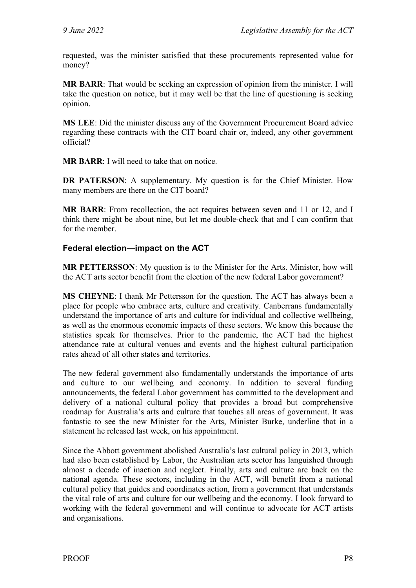requested, was the minister satisfied that these procurements represented value for money?

**MR BARR**: That would be seeking an expression of opinion from the minister. I will take the question on notice, but it may well be that the line of questioning is seeking opinion.

**MS LEE**: Did the minister discuss any of the Government Procurement Board advice regarding these contracts with the CIT board chair or, indeed, any other government official?

**MR BARR**: I will need to take that on notice.

**DR PATERSON**: A supplementary. My question is for the Chief Minister. How many members are there on the CIT board?

**MR BARR**: From recollection, the act requires between seven and 11 or 12, and I think there might be about nine, but let me double-check that and I can confirm that for the member.

#### <span id="page-9-0"></span>**Federal election—impact on the ACT**

**MR PETTERSSON**: My question is to the Minister for the Arts. Minister, how will the ACT arts sector benefit from the election of the new federal Labor government?

**MS CHEYNE**: I thank Mr Pettersson for the question. The ACT has always been a place for people who embrace arts, culture and creativity. Canberrans fundamentally understand the importance of arts and culture for individual and collective wellbeing, as well as the enormous economic impacts of these sectors. We know this because the statistics speak for themselves. Prior to the pandemic, the ACT had the highest attendance rate at cultural venues and events and the highest cultural participation rates ahead of all other states and territories.

The new federal government also fundamentally understands the importance of arts and culture to our wellbeing and economy. In addition to several funding announcements, the federal Labor government has committed to the development and delivery of a national cultural policy that provides a broad but comprehensive roadmap for Australia's arts and culture that touches all areas of government. It was fantastic to see the new Minister for the Arts, Minister Burke, underline that in a statement he released last week, on his appointment.

Since the Abbott government abolished Australia's last cultural policy in 2013, which had also been established by Labor, the Australian arts sector has languished through almost a decade of inaction and neglect. Finally, arts and culture are back on the national agenda. These sectors, including in the ACT, will benefit from a national cultural policy that guides and coordinates action, from a government that understands the vital role of arts and culture for our wellbeing and the economy. I look forward to working with the federal government and will continue to advocate for ACT artists and organisations.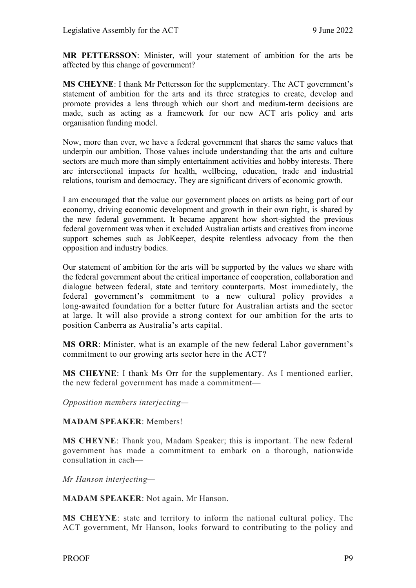**MR PETTERSSON**: Minister, will your statement of ambition for the arts be affected by this change of government?

**MS CHEYNE**: I thank Mr Pettersson for the supplementary. The ACT government's statement of ambition for the arts and its three strategies to create, develop and promote provides a lens through which our short and medium-term decisions are made, such as acting as a framework for our new ACT arts policy and arts organisation funding model.

Now, more than ever, we have a federal government that shares the same values that underpin our ambition. Those values include understanding that the arts and culture sectors are much more than simply entertainment activities and hobby interests. There are intersectional impacts for health, wellbeing, education, trade and industrial relations, tourism and democracy. They are significant drivers of economic growth.

I am encouraged that the value our government places on artists as being part of our economy, driving economic development and growth in their own right, is shared by the new federal government. It became apparent how short-sighted the previous federal government was when it excluded Australian artists and creatives from income support schemes such as JobKeeper, despite relentless advocacy from the then opposition and industry bodies.

Our statement of ambition for the arts will be supported by the values we share with the federal government about the critical importance of cooperation, collaboration and dialogue between federal, state and territory counterparts. Most immediately, the federal government's commitment to a new cultural policy provides a long-awaited foundation for a better future for Australian artists and the sector at large. It will also provide a strong context for our ambition for the arts to position Canberra as Australia's arts capital.

**MS ORR**: Minister, what is an example of the new federal Labor government's commitment to our growing arts sector here in the ACT?

**MS CHEYNE**: I thank Ms Orr for the supplementary. As I mentioned earlier, the new federal government has made a commitment—

*Opposition members interjecting—* 

#### **MADAM SPEAKER**: Members!

**MS CHEYNE**: Thank you, Madam Speaker; this is important. The new federal government has made a commitment to embark on a thorough, nationwide consultation in each—

*Mr Hanson interjecting—* 

**MADAM SPEAKER**: Not again, Mr Hanson.

**MS CHEYNE**: state and territory to inform the national cultural policy. The ACT government, Mr Hanson, looks forward to contributing to the policy and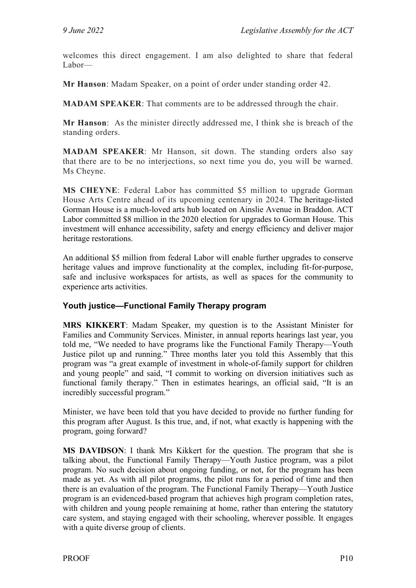welcomes this direct engagement. I am also delighted to share that federal Labor—

**Mr Hanson**: Madam Speaker, on a point of order under standing order 42.

**MADAM SPEAKER**: That comments are to be addressed through the chair.

**Mr Hanson**: As the minister directly addressed me, I think she is breach of the standing orders.

**MADAM SPEAKER**: Mr Hanson, sit down. The standing orders also say that there are to be no interjections, so next time you do, you will be warned. Ms Cheyne.

**MS CHEYNE**: Federal Labor has committed \$5 million to upgrade Gorman House Arts Centre ahead of its upcoming centenary in 2024. The heritage-listed Gorman House is a much-loved arts hub located on Ainslie Avenue in Braddon. ACT Labor committed \$8 million in the 2020 election for upgrades to Gorman House. This investment will enhance accessibility, safety and energy efficiency and deliver major heritage restorations.

An additional \$5 million from federal Labor will enable further upgrades to conserve heritage values and improve functionality at the complex, including fit-for-purpose, safe and inclusive workspaces for artists, as well as spaces for the community to experience arts activities.

#### <span id="page-11-0"></span>**Youth justice—Functional Family Therapy program**

**MRS KIKKERT**: Madam Speaker, my question is to the Assistant Minister for Families and Community Services. Minister, in annual reports hearings last year, you told me, "We needed to have programs like the Functional Family Therapy—Youth Justice pilot up and running." Three months later you told this Assembly that this program was "a great example of investment in whole-of-family support for children and young people" and said, "I commit to working on diversion initiatives such as functional family therapy." Then in estimates hearings, an official said, "It is an incredibly successful program."

Minister, we have been told that you have decided to provide no further funding for this program after August. Is this true, and, if not, what exactly is happening with the program, going forward?

**MS DAVIDSON**: I thank Mrs Kikkert for the question. The program that she is talking about, the Functional Family Therapy—Youth Justice program, was a pilot program. No such decision about ongoing funding, or not, for the program has been made as yet. As with all pilot programs, the pilot runs for a period of time and then there is an evaluation of the program. The Functional Family Therapy—Youth Justice program is an evidenced-based program that achieves high program completion rates, with children and young people remaining at home, rather than entering the statutory care system, and staying engaged with their schooling, wherever possible. It engages with a quite diverse group of clients.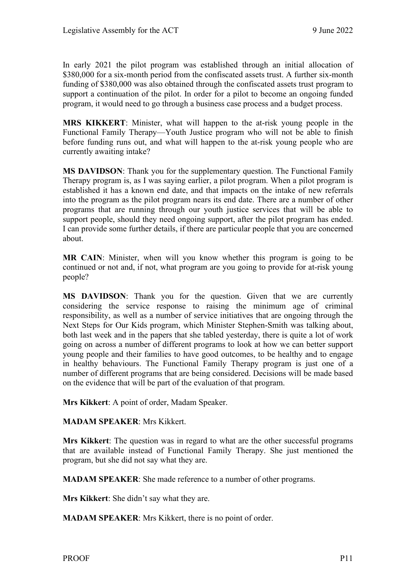In early 2021 the pilot program was established through an initial allocation of \$380,000 for a six-month period from the confiscated assets trust. A further six-month funding of \$380,000 was also obtained through the confiscated assets trust program to support a continuation of the pilot. In order for a pilot to become an ongoing funded program, it would need to go through a business case process and a budget process.

**MRS KIKKERT**: Minister, what will happen to the at-risk young people in the Functional Family Therapy—Youth Justice program who will not be able to finish before funding runs out, and what will happen to the at-risk young people who are currently awaiting intake?

**MS DAVIDSON**: Thank you for the supplementary question. The Functional Family Therapy program is, as I was saying earlier, a pilot program. When a pilot program is established it has a known end date, and that impacts on the intake of new referrals into the program as the pilot program nears its end date. There are a number of other programs that are running through our youth justice services that will be able to support people, should they need ongoing support, after the pilot program has ended. I can provide some further details, if there are particular people that you are concerned about.

**MR CAIN**: Minister, when will you know whether this program is going to be continued or not and, if not, what program are you going to provide for at-risk young people?

**MS DAVIDSON**: Thank you for the question. Given that we are currently considering the service response to raising the minimum age of criminal responsibility, as well as a number of service initiatives that are ongoing through the Next Steps for Our Kids program, which Minister Stephen-Smith was talking about, both last week and in the papers that she tabled yesterday, there is quite a lot of work going on across a number of different programs to look at how we can better support young people and their families to have good outcomes, to be healthy and to engage in healthy behaviours. The Functional Family Therapy program is just one of a number of different programs that are being considered. Decisions will be made based on the evidence that will be part of the evaluation of that program.

**Mrs Kikkert**: A point of order, Madam Speaker.

#### **MADAM SPEAKER**: Mrs Kikkert.

**Mrs Kikkert**: The question was in regard to what are the other successful programs that are available instead of Functional Family Therapy. She just mentioned the program, but she did not say what they are.

**MADAM SPEAKER**: She made reference to a number of other programs.

**Mrs Kikkert**: She didn't say what they are.

**MADAM SPEAKER**: Mrs Kikkert, there is no point of order.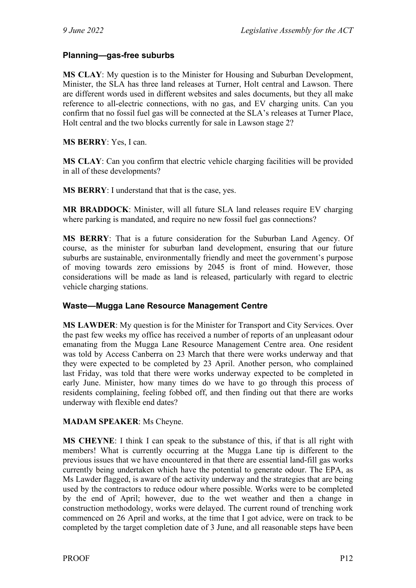#### <span id="page-13-0"></span>**Planning—gas-free suburbs**

**MS CLAY**: My question is to the Minister for Housing and Suburban Development, Minister, the SLA has three land releases at Turner, Holt central and Lawson. There are different words used in different websites and sales documents, but they all make reference to all-electric connections, with no gas, and EV charging units. Can you confirm that no fossil fuel gas will be connected at the SLA's releases at Turner Place, Holt central and the two blocks currently for sale in Lawson stage 2?

**MS BERRY**: Yes, I can.

**MS CLAY**: Can you confirm that electric vehicle charging facilities will be provided in all of these developments?

**MS BERRY**: I understand that that is the case, yes.

**MR BRADDOCK**: Minister, will all future SLA land releases require EV charging where parking is mandated, and require no new fossil fuel gas connections?

**MS BERRY**: That is a future consideration for the Suburban Land Agency. Of course, as the minister for suburban land development, ensuring that our future suburbs are sustainable, environmentally friendly and meet the government's purpose of moving towards zero emissions by 2045 is front of mind. However, those considerations will be made as land is released, particularly with regard to electric vehicle charging stations.

#### <span id="page-13-1"></span>**Waste—Mugga Lane Resource Management Centre**

**MS LAWDER**: My question is for the Minister for Transport and City Services. Over the past few weeks my office has received a number of reports of an unpleasant odour emanating from the Mugga Lane Resource Management Centre area. One resident was told by Access Canberra on 23 March that there were works underway and that they were expected to be completed by 23 April. Another person, who complained last Friday, was told that there were works underway expected to be completed in early June. Minister, how many times do we have to go through this process of residents complaining, feeling fobbed off, and then finding out that there are works underway with flexible end dates?

#### **MADAM SPEAKER**: Ms Cheyne.

**MS CHEYNE**: I think I can speak to the substance of this, if that is all right with members! What is currently occurring at the Mugga Lane tip is different to the previous issues that we have encountered in that there are essential land-fill gas works currently being undertaken which have the potential to generate odour. The EPA, as Ms Lawder flagged, is aware of the activity underway and the strategies that are being used by the contractors to reduce odour where possible. Works were to be completed by the end of April; however, due to the wet weather and then a change in construction methodology, works were delayed. The current round of trenching work commenced on 26 April and works, at the time that I got advice, were on track to be completed by the target completion date of 3 June, and all reasonable steps have been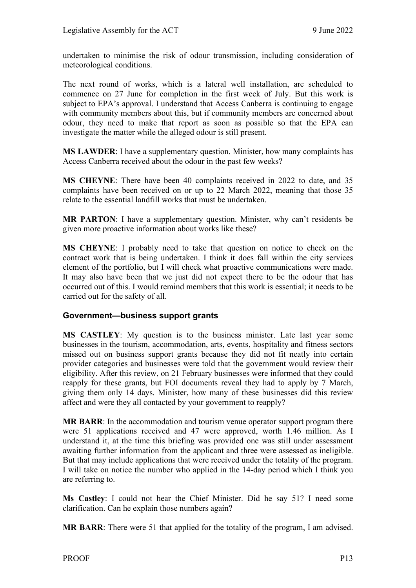undertaken to minimise the risk of odour transmission, including consideration of meteorological conditions.

The next round of works, which is a lateral well installation, are scheduled to commence on 27 June for completion in the first week of July. But this work is subject to EPA's approval. I understand that Access Canberra is continuing to engage with community members about this, but if community members are concerned about odour, they need to make that report as soon as possible so that the EPA can investigate the matter while the alleged odour is still present.

**MS LAWDER**: I have a supplementary question. Minister, how many complaints has Access Canberra received about the odour in the past few weeks?

**MS CHEYNE**: There have been 40 complaints received in 2022 to date, and 35 complaints have been received on or up to 22 March 2022, meaning that those 35 relate to the essential landfill works that must be undertaken.

**MR PARTON**: I have a supplementary question. Minister, why can't residents be given more proactive information about works like these?

**MS CHEYNE**: I probably need to take that question on notice to check on the contract work that is being undertaken. I think it does fall within the city services element of the portfolio, but I will check what proactive communications were made. It may also have been that we just did not expect there to be the odour that has occurred out of this. I would remind members that this work is essential; it needs to be carried out for the safety of all.

#### <span id="page-14-0"></span>**Government—business support grants**

**MS CASTLEY**: My question is to the business minister. Late last year some businesses in the tourism, accommodation, arts, events, hospitality and fitness sectors missed out on business support grants because they did not fit neatly into certain provider categories and businesses were told that the government would review their eligibility. After this review, on 21 February businesses were informed that they could reapply for these grants, but FOI documents reveal they had to apply by 7 March, giving them only 14 days. Minister, how many of these businesses did this review affect and were they all contacted by your government to reapply?

**MR BARR**: In the accommodation and tourism venue operator support program there were 51 applications received and 47 were approved, worth 1.46 million. As I understand it, at the time this briefing was provided one was still under assessment awaiting further information from the applicant and three were assessed as ineligible. But that may include applications that were received under the totality of the program. I will take on notice the number who applied in the 14-day period which I think you are referring to.

**Ms Castley**: I could not hear the Chief Minister. Did he say 51? I need some clarification. Can he explain those numbers again?

**MR BARR**: There were 51 that applied for the totality of the program, I am advised.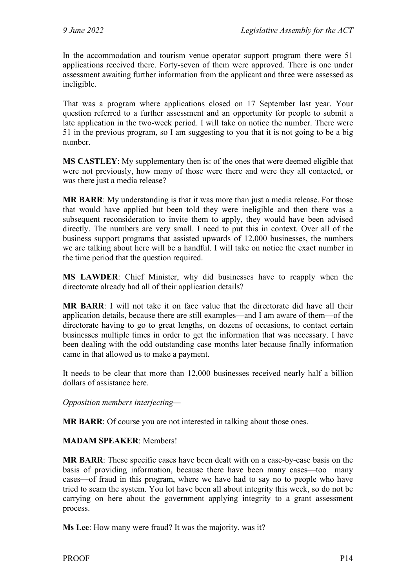In the accommodation and tourism venue operator support program there were 51 applications received there. Forty-seven of them were approved. There is one under assessment awaiting further information from the applicant and three were assessed as ineligible.

That was a program where applications closed on 17 September last year. Your question referred to a further assessment and an opportunity for people to submit a late application in the two-week period. I will take on notice the number. There were 51 in the previous program, so I am suggesting to you that it is not going to be a big number.

**MS CASTLEY**: My supplementary then is: of the ones that were deemed eligible that were not previously, how many of those were there and were they all contacted, or was there just a media release?

**MR BARR**: My understanding is that it was more than just a media release. For those that would have applied but been told they were ineligible and then there was a subsequent reconsideration to invite them to apply, they would have been advised directly. The numbers are very small. I need to put this in context. Over all of the business support programs that assisted upwards of 12,000 businesses, the numbers we are talking about here will be a handful. I will take on notice the exact number in the time period that the question required.

**MS LAWDER**: Chief Minister, why did businesses have to reapply when the directorate already had all of their application details?

**MR BARR**: I will not take it on face value that the directorate did have all their application details, because there are still examples—and I am aware of them—of the directorate having to go to great lengths, on dozens of occasions, to contact certain businesses multiple times in order to get the information that was necessary. I have been dealing with the odd outstanding case months later because finally information came in that allowed us to make a payment.

It needs to be clear that more than 12,000 businesses received nearly half a billion dollars of assistance here.

*Opposition members interjecting—*

**MR BARR**: Of course you are not interested in talking about those ones.

**MADAM SPEAKER**: Members!

**MR BARR**: These specific cases have been dealt with on a case-by-case basis on the basis of providing information, because there have been many cases—too many cases—of fraud in this program, where we have had to say no to people who have tried to scam the system. You lot have been all about integrity this week, so do not be carrying on here about the government applying integrity to a grant assessment process.

**Ms Lee**: How many were fraud? It was the majority, was it?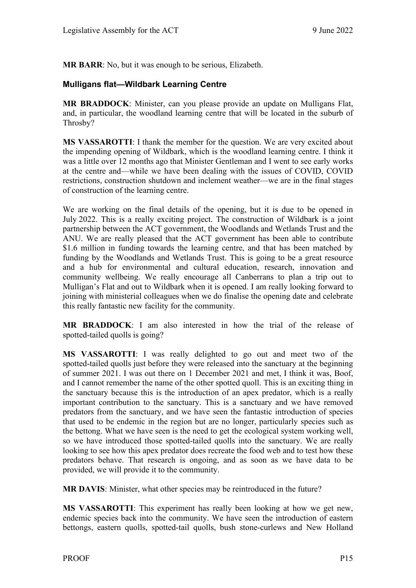**MR BARR**: No, but it was enough to be serious, Elizabeth.

#### <span id="page-16-0"></span>**Mulligans flat—Wildbark Learning Centre**

**MR BRADDOCK**: Minister, can you please provide an update on Mulligans Flat, and, in particular, the woodland learning centre that will be located in the suburb of Throsby?

**MS VASSAROTTI**: I thank the member for the question. We are very excited about the impending opening of Wildbark, which is the woodland learning centre. I think it was a little over 12 months ago that Minister Gentleman and I went to see early works at the centre and—while we have been dealing with the issues of COVID, COVID restrictions, construction shutdown and inclement weather—we are in the final stages of construction of the learning centre.

We are working on the final details of the opening, but it is due to be opened in July 2022. This is a really exciting project. The construction of Wildbark is a joint partnership between the ACT government, the Woodlands and Wetlands Trust and the ANU. We are really pleased that the ACT government has been able to contribute \$1.6 million in funding towards the learning centre, and that has been matched by funding by the Woodlands and Wetlands Trust. This is going to be a great resource and a hub for environmental and cultural education, research, innovation and community wellbeing. We really encourage all Canberrans to plan a trip out to Mulligan's Flat and out to Wildbark when it is opened. I am really looking forward to joining with ministerial colleagues when we do finalise the opening date and celebrate this really fantastic new facility for the community.

**MR BRADDOCK**: I am also interested in how the trial of the release of spotted-tailed quolls is going?

**MS VASSAROTTI**: I was really delighted to go out and meet two of the spotted-tailed quolls just before they were released into the sanctuary at the beginning of summer 2021. I was out there on 1 December 2021 and met, I think it was, Boof, and I cannot remember the name of the other spotted quoll. This is an exciting thing in the sanctuary because this is the introduction of an apex predator, which is a really important contribution to the sanctuary. This is a sanctuary and we have removed predators from the sanctuary, and we have seen the fantastic introduction of species that used to be endemic in the region but are no longer, particularly species such as the bettong. What we have seen is the need to get the ecological system working well, so we have introduced those spotted-tailed quolls into the sanctuary. We are really looking to see how this apex predator does recreate the food web and to test how these predators behave. That research is ongoing, and as soon as we have data to be provided, we will provide it to the community.

**MR DAVIS**: Minister, what other species may be reintroduced in the future?

**MS VASSAROTTI**: This experiment has really been looking at how we get new, endemic species back into the community. We have seen the introduction of eastern bettongs, eastern quolls, spotted-tail quolls, bush stone-curlews and New Holland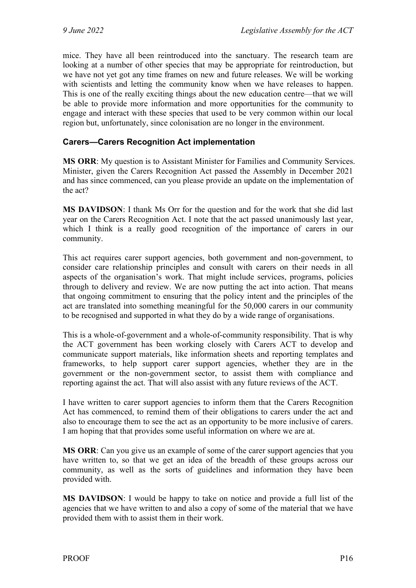mice. They have all been reintroduced into the sanctuary. The research team are looking at a number of other species that may be appropriate for reintroduction, but we have not yet got any time frames on new and future releases. We will be working with scientists and letting the community know when we have releases to happen. This is one of the really exciting things about the new education centre—that we will be able to provide more information and more opportunities for the community to engage and interact with these species that used to be very common within our local region but, unfortunately, since colonisation are no longer in the environment.

#### <span id="page-17-0"></span>**Carers—Carers Recognition Act implementation**

**MS ORR**: My question is to Assistant Minister for Families and Community Services. Minister, given the Carers Recognition Act passed the Assembly in December 2021 and has since commenced, can you please provide an update on the implementation of the act?

**MS DAVIDSON**: I thank Ms Orr for the question and for the work that she did last year on the Carers Recognition Act. I note that the act passed unanimously last year, which I think is a really good recognition of the importance of carers in our community.

This act requires carer support agencies, both government and non-government, to consider care relationship principles and consult with carers on their needs in all aspects of the organisation's work. That might include services, programs, policies through to delivery and review. We are now putting the act into action. That means that ongoing commitment to ensuring that the policy intent and the principles of the act are translated into something meaningful for the 50,000 carers in our community to be recognised and supported in what they do by a wide range of organisations.

This is a whole-of-government and a whole-of-community responsibility. That is why the ACT government has been working closely with Carers ACT to develop and communicate support materials, like information sheets and reporting templates and frameworks, to help support carer support agencies, whether they are in the government or the non-government sector, to assist them with compliance and reporting against the act. That will also assist with any future reviews of the ACT.

I have written to carer support agencies to inform them that the Carers Recognition Act has commenced, to remind them of their obligations to carers under the act and also to encourage them to see the act as an opportunity to be more inclusive of carers. I am hoping that that provides some useful information on where we are at.

**MS ORR**: Can you give us an example of some of the carer support agencies that you have written to, so that we get an idea of the breadth of these groups across our community, as well as the sorts of guidelines and information they have been provided with.

**MS DAVIDSON**: I would be happy to take on notice and provide a full list of the agencies that we have written to and also a copy of some of the material that we have provided them with to assist them in their work.